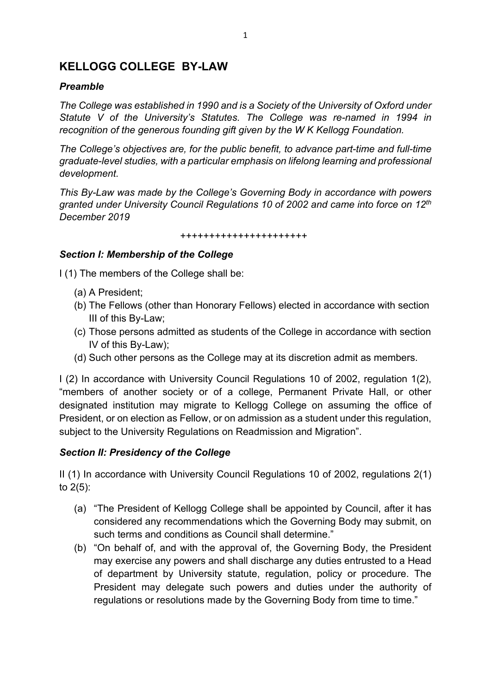# **KELLOGG COLLEGE BY-LAW**

### *Preamble*

*The College was established in 1990 and is a Society of the University of Oxford under Statute V of the University's Statutes. The College was re-named in 1994 in recognition of the generous founding gift given by the W K Kellogg Foundation.*

*The College's objectives are, for the public benefit, to advance part-time and full-time graduate-level studies, with a particular emphasis on lifelong learning and professional development.*

*This By-Law was made by the College's Governing Body in accordance with powers granted under University Council Regulations 10 of 2002 and came into force on 12th December 2019*

++++++++++++++++++++++

## *Section I: Membership of the College*

I (1) The members of the College shall be:

- (a) A President;
- (b) The Fellows (other than Honorary Fellows) elected in accordance with section III of this By-Law;
- (c) Those persons admitted as students of the College in accordance with section IV of this By-Law);
- (d) Such other persons as the College may at its discretion admit as members.

I (2) In accordance with University Council Regulations 10 of 2002, regulation 1(2), "members of another society or of a college, Permanent Private Hall, or other designated institution may migrate to Kellogg College on assuming the office of President, or on election as Fellow, or on admission as a student under this regulation, subject to the University Regulations on Readmission and Migration".

#### *Section II: Presidency of the College*

II (1) In accordance with University Council Regulations 10 of 2002, regulations 2(1) to 2(5):

- (a) "The President of Kellogg College shall be appointed by Council, after it has considered any recommendations which the Governing Body may submit, on such terms and conditions as Council shall determine."
- (b) "On behalf of, and with the approval of, the Governing Body, the President may exercise any powers and shall discharge any duties entrusted to a Head of department by University statute, regulation, policy or procedure. The President may delegate such powers and duties under the authority of regulations or resolutions made by the Governing Body from time to time."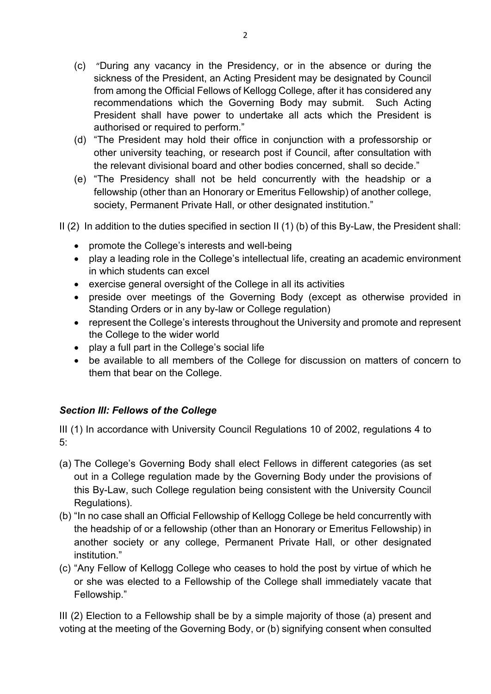- (c) "During any vacancy in the Presidency, or in the absence or during the sickness of the President, an Acting President may be designated by Council from among the Official Fellows of Kellogg College, after it has considered any recommendations which the Governing Body may submit. Such Acting President shall have power to undertake all acts which the President is authorised or required to perform."
- (d) "The President may hold their office in conjunction with a professorship or other university teaching, or research post if Council, after consultation with the relevant divisional board and other bodies concerned, shall so decide."
- (e) "The Presidency shall not be held concurrently with the headship or a fellowship (other than an Honorary or Emeritus Fellowship) of another college, society, Permanent Private Hall, or other designated institution."
- II (2) In addition to the duties specified in section II (1) (b) of this By-Law, the President shall:
	- promote the College's interests and well-being
	- play a leading role in the College's intellectual life, creating an academic environment in which students can excel
	- exercise general oversight of the College in all its activities
	- preside over meetings of the Governing Body (except as otherwise provided in Standing Orders or in any by-law or College regulation)
	- represent the College's interests throughout the University and promote and represent the College to the wider world
	- play a full part in the College's social life
	- be available to all members of the College for discussion on matters of concern to them that bear on the College.

# *Section III: Fellows of the College*

III (1) In accordance with University Council Regulations 10 of 2002, regulations 4 to  $5<sup>2</sup>$ 

- (a) The College's Governing Body shall elect Fellows in different categories (as set out in a College regulation made by the Governing Body under the provisions of this By-Law, such College regulation being consistent with the University Council Regulations).
- (b) "In no case shall an Official Fellowship of Kellogg College be held concurrently with the headship of or a fellowship (other than an Honorary or Emeritus Fellowship) in another society or any college, Permanent Private Hall, or other designated institution."
- (c) "Any Fellow of Kellogg College who ceases to hold the post by virtue of which he or she was elected to a Fellowship of the College shall immediately vacate that Fellowship."

III (2) Election to a Fellowship shall be by a simple majority of those (a) present and voting at the meeting of the Governing Body, or (b) signifying consent when consulted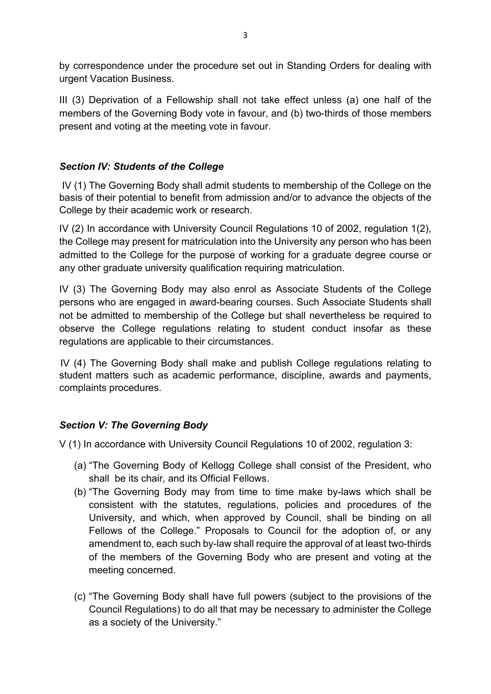by correspondence under the procedure set out in Standing Orders for dealing with urgent Vacation Business.

III (3) Deprivation of a Fellowship shall not take effect unless (a) one half of the members of the Governing Body vote in favour, and (b) two-thirds of those members present and voting at the meeting vote in favour.

# *Section IV: Students of the College*

IV (1) The Governing Body shall admit students to membership of the College on the basis of their potential to benefit from admission and/or to advance the objects of the College by their academic work or research.

IV (2) In accordance with University Council Regulations 10 of 2002, regulation 1(2), the College may present for matriculation into the University any person who has been admitted to the College for the purpose of working for a graduate degree course or any other graduate university qualification requiring matriculation.

IV (3) The Governing Body may also enrol as Associate Students of the College persons who are engaged in award-bearing courses. Such Associate Students shall not be admitted to membership of the College but shall nevertheless be required to observe the College regulations relating to student conduct insofar as these regulations are applicable to their circumstances.

 IV (4) The Governing Body shall make and publish College regulations relating to student matters such as academic performance, discipline, awards and payments, complaints procedures.

## *Section V: The Governing Body*

V (1) In accordance with University Council Regulations 10 of 2002, regulation 3:

- (a) "The Governing Body of Kellogg College shall consist of the President, who shall be its chair, and its Official Fellows.
- (b) "The Governing Body may from time to time make by-laws which shall be consistent with the statutes, regulations, policies and procedures of the University, and which, when approved by Council, shall be binding on all Fellows of the College." Proposals to Council for the adoption of, or any amendment to, each such by-law shall require the approval of at least two-thirds of the members of the Governing Body who are present and voting at the meeting concerned.
- (c) "The Governing Body shall have full powers (subject to the provisions of the Council Regulations) to do all that may be necessary to administer the College as a society of the University."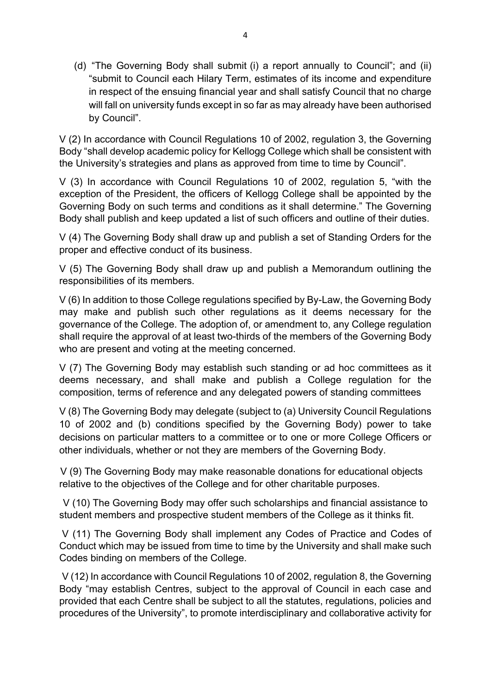(d) "The Governing Body shall submit (i) a report annually to Council"; and (ii) "submit to Council each Hilary Term, estimates of its income and expenditure in respect of the ensuing financial year and shall satisfy Council that no charge will fall on university funds except in so far as may already have been authorised by Council".

V (2) In accordance with Council Regulations 10 of 2002, regulation 3, the Governing Body "shall develop academic policy for Kellogg College which shall be consistent with the University's strategies and plans as approved from time to time by Council".

V (3) In accordance with Council Regulations 10 of 2002, regulation 5, "with the exception of the President, the officers of Kellogg College shall be appointed by the Governing Body on such terms and conditions as it shall determine." The Governing Body shall publish and keep updated a list of such officers and outline of their duties.

V (4) The Governing Body shall draw up and publish a set of Standing Orders for the proper and effective conduct of its business.

V (5) The Governing Body shall draw up and publish a Memorandum outlining the responsibilities of its members.

V (6) In addition to those College regulations specified by By-Law, the Governing Body may make and publish such other regulations as it deems necessary for the governance of the College. The adoption of, or amendment to, any College regulation shall require the approval of at least two-thirds of the members of the Governing Body who are present and voting at the meeting concerned.

V (7) The Governing Body may establish such standing or ad hoc committees as it deems necessary, and shall make and publish a College regulation for the composition, terms of reference and any delegated powers of standing committees

V (8) The Governing Body may delegate (subject to (a) University Council Regulations 10 of 2002 and (b) conditions specified by the Governing Body) power to take decisions on particular matters to a committee or to one or more College Officers or other individuals, whether or not they are members of the Governing Body.

 V (9) The Governing Body may make reasonable donations for educational objects relative to the objectives of the College and for other charitable purposes.

 V (10) The Governing Body may offer such scholarships and financial assistance to student members and prospective student members of the College as it thinks fit.

V (11) The Governing Body shall implement any Codes of Practice and Codes of Conduct which may be issued from time to time by the University and shall make such Codes binding on members of the College.

V (12) In accordance with Council Regulations 10 of 2002, regulation 8, the Governing Body "may establish Centres, subject to the approval of Council in each case and provided that each Centre shall be subject to all the statutes, regulations, policies and procedures of the University", to promote interdisciplinary and collaborative activity for